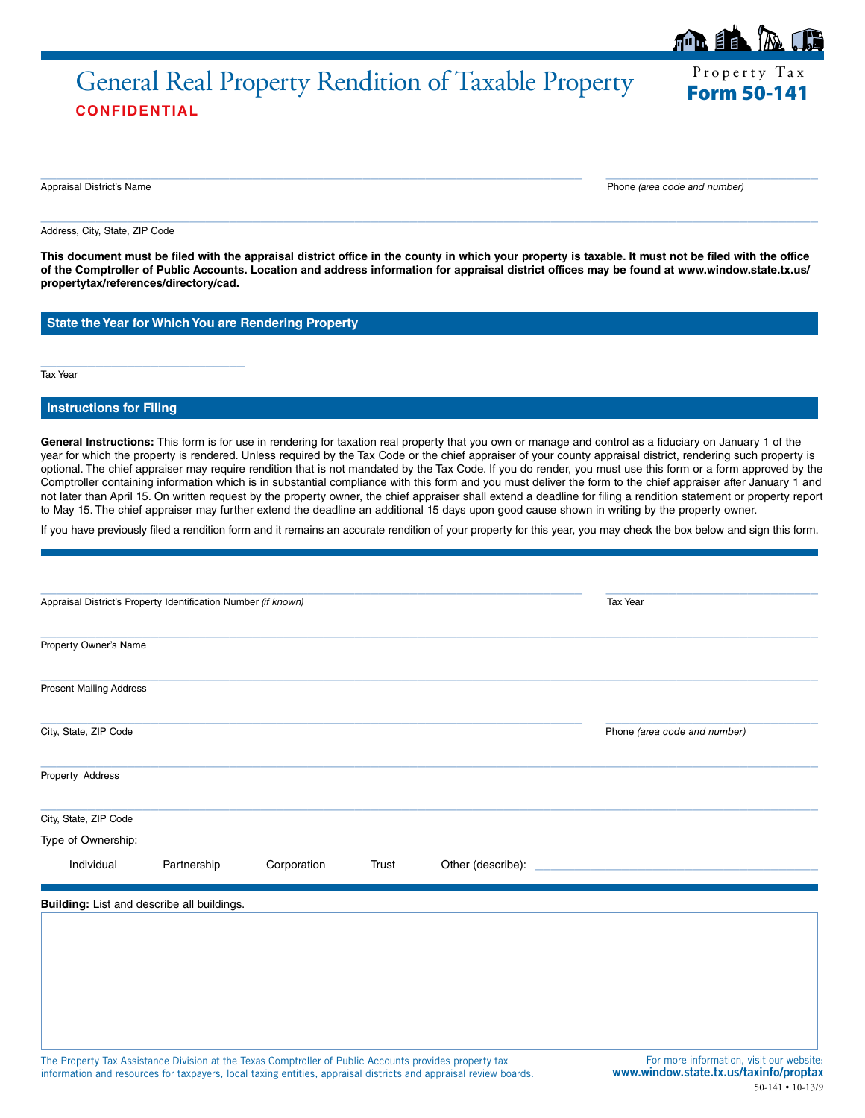# Property Tax General Real Property Rendition of Taxable Property Form 50-141 **CONFIDENTIAL**

ÉE.

Appraisal District's Name Phone *(area code and number)*

Address, City, State, ZIP Code

**This document must be filed with the appraisal district office in the county in which your property is taxable. It must not be filed with the office of the Comptroller of Public Accounts. Location and address information for appraisal district offices may be found at www.window.state.tx.us/ propertytax/references/directory/cad.**

 $\_$  , and the set of the set of the set of the set of the set of the set of the set of the set of the set of the set of the set of the set of the set of the set of the set of the set of the set of the set of the set of th

 $\_$  , and the set of the set of the set of the set of the set of the set of the set of the set of the set of the set of the set of the set of the set of the set of the set of the set of the set of the set of the set of th

**State the Year for Which You are Rendering Property**

Tax Year

## **Instructions for Filing**

\_\_\_\_\_\_\_\_\_\_\_\_\_\_\_\_\_\_\_\_\_\_\_\_\_\_

**General Instructions:** This form is for use in rendering for taxation real property that you own or manage and control as a fiduciary on January 1 of the year for which the property is rendered. Unless required by the Tax Code or the chief appraiser of your county appraisal district, rendering such property is optional. The chief appraiser may require rendition that is not mandated by the Tax Code. If you do render, you must use this form or a form approved by the Comptroller containing information which is in substantial compliance with this form and you must deliver the form to the chief appraiser after January 1 and not later than April 15. On written request by the property owner, the chief appraiser shall extend a deadline for filing a rendition statement or property report to May 15. The chief appraiser may further extend the deadline an additional 15 days upon good cause shown in writing by the property owner.

If you have previously filed a rendition form and it remains an accurate rendition of your property for this year, you may check the box below and sign this form.

| Appraisal District's Property Identification Number (if known) |             |                                                                                                        | <b>Tax Year</b> |                                                                                                                  |                                                                                                              |
|----------------------------------------------------------------|-------------|--------------------------------------------------------------------------------------------------------|-----------------|------------------------------------------------------------------------------------------------------------------|--------------------------------------------------------------------------------------------------------------|
| Property Owner's Name                                          |             |                                                                                                        |                 |                                                                                                                  |                                                                                                              |
| <b>Present Mailing Address</b>                                 |             |                                                                                                        |                 |                                                                                                                  |                                                                                                              |
| City, State, ZIP Code                                          |             |                                                                                                        |                 |                                                                                                                  | Phone (area code and number)                                                                                 |
| Property Address                                               |             |                                                                                                        |                 |                                                                                                                  |                                                                                                              |
| City, State, ZIP Code                                          |             |                                                                                                        |                 |                                                                                                                  |                                                                                                              |
| Type of Ownership:                                             |             |                                                                                                        |                 |                                                                                                                  |                                                                                                              |
| Individual                                                     | Partnership | Corporation                                                                                            | Trust           |                                                                                                                  |                                                                                                              |
| Building: List and describe all buildings.                     |             |                                                                                                        |                 |                                                                                                                  |                                                                                                              |
|                                                                |             |                                                                                                        |                 |                                                                                                                  |                                                                                                              |
|                                                                |             |                                                                                                        |                 |                                                                                                                  |                                                                                                              |
|                                                                |             |                                                                                                        |                 |                                                                                                                  |                                                                                                              |
|                                                                |             | The Property Tax Assistance Division at the Texas Comptroller of Public Accounts provides property tax |                 | information and resources for taxpayers, local taxing entities, appraisal districts and appraisal review boards. | For more information, visit our website:<br>www.window.state.tx.us/taxinfo/proptax<br>$50-141 \cdot 10-13/9$ |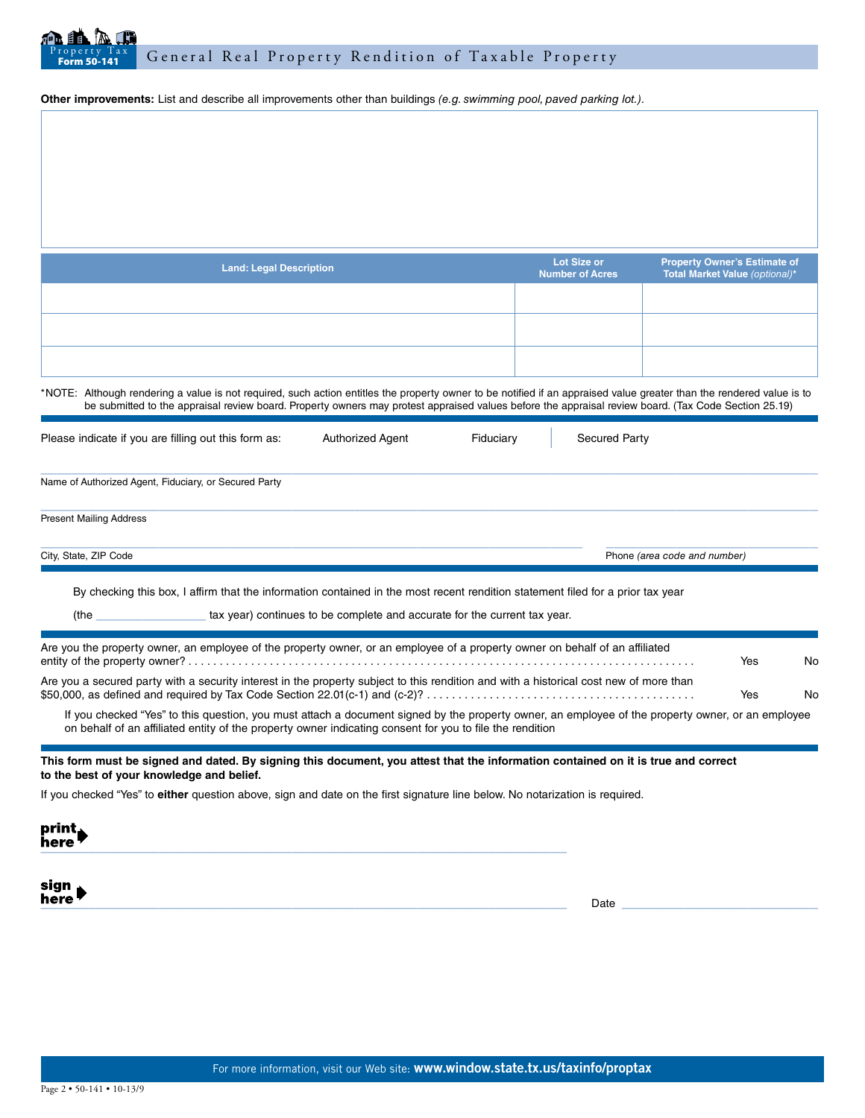

**Other improvements:** List and describe all improvements other than buildings *(e.g. swimming pool, paved parking lot.)*.

| <b>Land: Legal Description</b> | Lot Size or<br><b>Number of Acres</b> | Property Owner's Estimate of<br>Total Market Value (optional)* |
|--------------------------------|---------------------------------------|----------------------------------------------------------------|
|                                |                                       |                                                                |
|                                |                                       |                                                                |
|                                |                                       |                                                                |

\*NOTE: Although rendering a value is not required, such action entitles the property owner to be notified if an appraised value greater than the rendered value is to be submitted to the appraisal review board. Property owners may protest appraised values before the appraisal review board. (Tax Code Section 25.19)

| Please indicate if you are filling out this form as:                                                                                                                                                                 | <b>Authorized Agent</b> | Fiduciary | <b>Secured Party</b>         |  |
|----------------------------------------------------------------------------------------------------------------------------------------------------------------------------------------------------------------------|-------------------------|-----------|------------------------------|--|
| Name of Authorized Agent, Fiduciary, or Secured Party                                                                                                                                                                |                         |           |                              |  |
| <b>Present Mailing Address</b>                                                                                                                                                                                       |                         |           |                              |  |
| City, State, ZIP Code                                                                                                                                                                                                |                         |           | Phone (area code and number) |  |
| By checking this box, I affirm that the information contained in the most recent rendition statement filed for a prior tax year<br>tax year) continues to be complete and accurate for the current tax year.<br>(the |                         |           |                              |  |

| Are you the property owner, an employee of the property owner, or an employee of a property owner on behalf of an affiliated                      | Yes | <b>No</b> |
|---------------------------------------------------------------------------------------------------------------------------------------------------|-----|-----------|
| Are you a secured party with a security interest in the property subject to this rendition and with a historical cost new of more than            | Yes | No.       |
| If you checked "Yes" to this question, you must attach a document signed by the property owner, an employee of the property owner, or an employee |     |           |

on behalf of an affiliated entity of the property owner indicating consent for you to file the rendition

**This form must be signed and dated. By signing this document, you attest that the information contained on it is true and correct to the best of your knowledge and belief.**

If you checked "Yes" to **either** question above, sign and date on the first signature line below. No notarization is required.

| print <sub>♦</sub><br>here |  |  |
|----------------------------|--|--|
|                            |  |  |

sign nere  $\tau$  and the set of the set of the set of the set of the set of the set of the set of the set of the set of the set of the set of the set of the set of the set of the set of the set of the set of the set of the set o